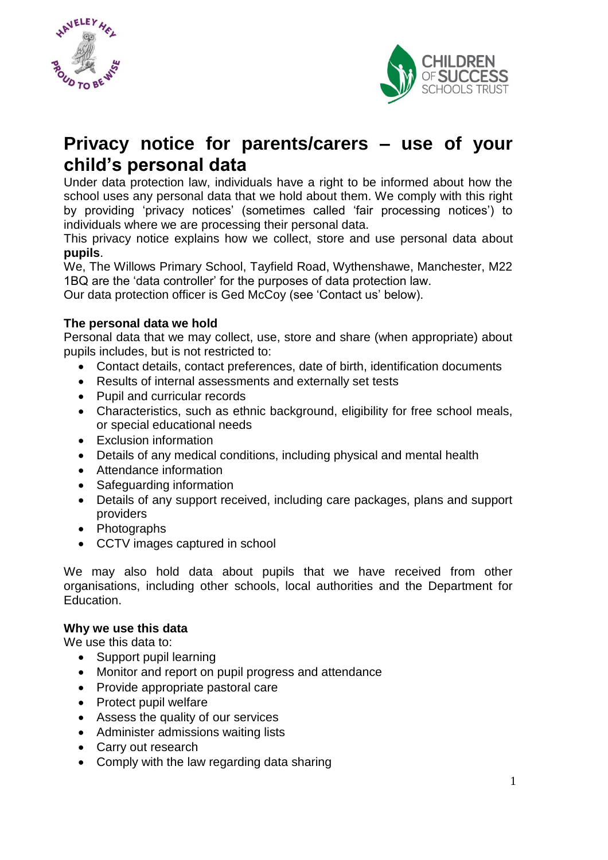



# **Privacy notice for parents/carers – use of your child's personal data**

Under data protection law, individuals have a right to be informed about how the school uses any personal data that we hold about them. We comply with this right by providing 'privacy notices' (sometimes called 'fair processing notices') to individuals where we are processing their personal data.

This privacy notice explains how we collect, store and use personal data about **pupils**.

We, The Willows Primary School, Tayfield Road, Wythenshawe, Manchester, M22 1BQ are the 'data controller' for the purposes of data protection law.

Our data protection officer is Ged McCoy (see 'Contact us' below).

## **The personal data we hold**

Personal data that we may collect, use, store and share (when appropriate) about pupils includes, but is not restricted to:

- Contact details, contact preferences, date of birth, identification documents
- Results of internal assessments and externally set tests
- Pupil and curricular records
- Characteristics, such as ethnic background, eligibility for free school meals, or special educational needs
- Exclusion information
- Details of any medical conditions, including physical and mental health
- Attendance information
- Safeguarding information
- Details of any support received, including care packages, plans and support providers
- Photographs
- CCTV images captured in school

We may also hold data about pupils that we have received from other organisations, including other schools, local authorities and the Department for Education.

#### **Why we use this data**

We use this data to:

- Support pupil learning
- Monitor and report on pupil progress and attendance
- Provide appropriate pastoral care
- Protect pupil welfare
- Assess the quality of our services
- Administer admissions waiting lists
- Carry out research
- Comply with the law regarding data sharing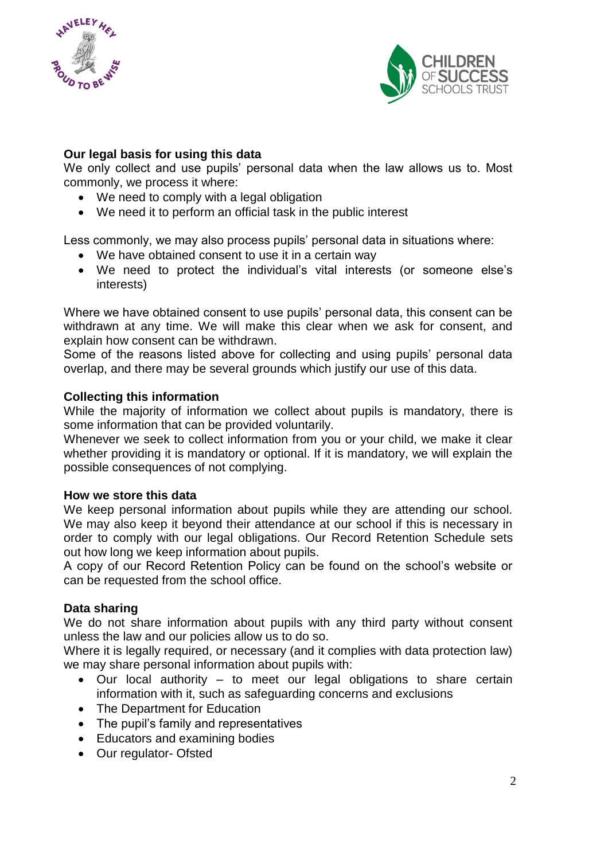



### **Our legal basis for using this data**

We only collect and use pupils' personal data when the law allows us to. Most commonly, we process it where:

- We need to comply with a legal obligation
- We need it to perform an official task in the public interest

Less commonly, we may also process pupils' personal data in situations where:

- We have obtained consent to use it in a certain way
- We need to protect the individual's vital interests (or someone else's interests)

Where we have obtained consent to use pupils' personal data, this consent can be withdrawn at any time. We will make this clear when we ask for consent, and explain how consent can be withdrawn.

Some of the reasons listed above for collecting and using pupils' personal data overlap, and there may be several grounds which justify our use of this data.

#### **Collecting this information**

While the majority of information we collect about pupils is mandatory, there is some information that can be provided voluntarily.

Whenever we seek to collect information from you or your child, we make it clear whether providing it is mandatory or optional. If it is mandatory, we will explain the possible consequences of not complying.

#### **How we store this data**

We keep personal information about pupils while they are attending our school. We may also keep it beyond their attendance at our school if this is necessary in order to comply with our legal obligations. Our Record Retention Schedule sets out how long we keep information about pupils.

A copy of our Record Retention Policy can be found on the school's website or can be requested from the school office.

#### **Data sharing**

We do not share information about pupils with any third party without consent unless the law and our policies allow us to do so.

Where it is legally required, or necessary (and it complies with data protection law) we may share personal information about pupils with:

- Our local authority to meet our legal obligations to share certain information with it, such as safeguarding concerns and exclusions
- The Department for Education
- The pupil's family and representatives
- Educators and examining bodies
- Our regulator- Ofsted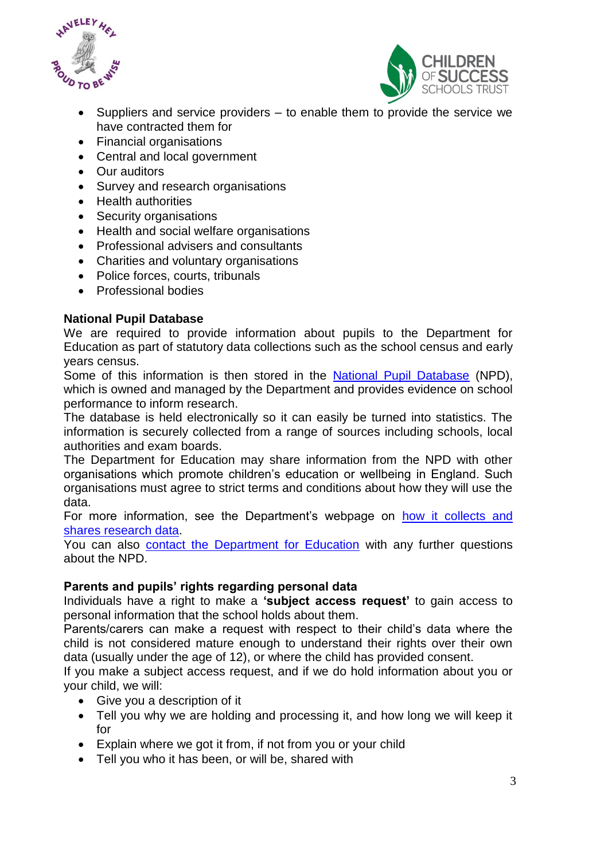



- Suppliers and service providers to enable them to provide the service we have contracted them for
- Financial organisations
- Central and local government
- Our auditors
- Survey and research organisations
- Health authorities
- Security organisations
- Health and social welfare organisations
- Professional advisers and consultants
- Charities and voluntary organisations
- Police forces, courts, tribunals
- Professional bodies

## **National Pupil Database**

We are required to provide information about pupils to the Department for Education as part of statutory data collections such as the school census and early years census.

Some of this information is then stored in the [National Pupil Database](https://www.gov.uk/government/publications/national-pupil-database-user-guide-and-supporting-information) (NPD), which is owned and managed by the Department and provides evidence on school performance to inform research.

The database is held electronically so it can easily be turned into statistics. The information is securely collected from a range of sources including schools, local authorities and exam boards.

The Department for Education may share information from the NPD with other organisations which promote children's education or wellbeing in England. Such organisations must agree to strict terms and conditions about how they will use the data.

For more information, see the Department's webpage on how it collects and [shares research data.](https://www.gov.uk/data-protection-how-we-collect-and-share-research-data)

You can also [contact the Department for Education](https://www.gov.uk/contact-dfe) with any further questions about the NPD.

#### **Parents and pupils' rights regarding personal data**

Individuals have a right to make a **'subject access request'** to gain access to personal information that the school holds about them.

Parents/carers can make a request with respect to their child's data where the child is not considered mature enough to understand their rights over their own data (usually under the age of 12), or where the child has provided consent.

If you make a subject access request, and if we do hold information about you or your child, we will:

- Give you a description of it
- Tell you why we are holding and processing it, and how long we will keep it for
- Explain where we got it from, if not from you or your child
- Tell you who it has been, or will be, shared with